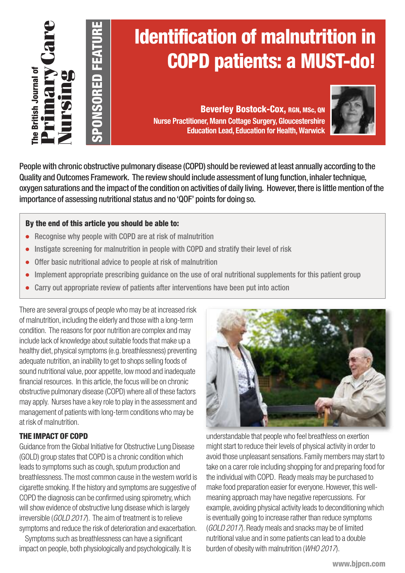

# **Identification of malnutrition in COPD patients: a MUST-do!**

**Beverley Bostock-Cox, RGN, MSc, QN Nurse Practitioner, Mann Cottage Surgery, Gloucestershire Education Lead, Education for Health, Warwick**



Peoplewith chronic obstructive pulmonary disease (COPD) should be reviewed at least annually according to the Quality and Outcomes Framework. The review should include assessment of lung function, inhaler technique, oxygen saturations and the impact of the condition on activities of daily living. However, there is little mention of the importance of assessing nutritional status and no'QOF' points for doing so.

## **By the end of this article you should be able to:**

**SPO N** <u>ဟ</u> **O R E D F E AT D RE**

- **●** Recognise why people with COPD are at risk of malnutrition
- **●** Instigate screening for malnutrition in people with COPD and stratify their level of risk
- Offer basic nutritional advice to people at risk of malnutrition
- Implement appropriate prescribing guidance on the use of oral nutritional supplements for this patient group
- **●** Carry out appropriate review of patients after interventions have been put into action

There are several groups of people whomay be at increased risk of malnutrition, including the elderly and those with a long-term condition. The reasons for poor nutrition are complex and may include lack of knowledge about suitable foods that make up a healthy diet, physical symptoms (e.g. breathlessness) preventing adequate nutrition, an inability to get to shops selling foods of sound nutritional value, poor appetite, low mood and inadequate financial resources. In this article, the focus will be on chronic obstructive pulmonary disease (COPD) where all of these factors may apply. Nurses have a keyrole to playin the assessment and management of patients with long-term conditions who may be at risk of malnutrition.

## **THE IMPACT OF COPD**

Guidance from the Global Initiative for Obstructive Lung Disease (GOLD) group states that COPD is a chronic condition which leads to symptoms such as cough, sputum production and breathlessness. The most common cause in the western world is cigarette smoking. If the history and symptoms are suggestive of COPD the diagnosis can be confirmed using spirometry, which will show evidence of obstructive lung disease which is largely irreversible (*GOLD 2017*). The aim of treatment is to relieve symptoms and reduce the risk of deterioration and exacerbation.

Symptoms such as breathlessness can have a significant impact on people, both physiologically and psychologically. It is



understandable that people who feel breathless on exertion might start to reduce their levels of physical activity in order to avoid those unpleasant sensations. Family members may start to take on a carer role including shopping for and preparing food for the individual with COPD. Ready meals may be purchased to make food preparation easier for everyone. However, this wellmeaning approach may have negative repercussions. For example, avoiding physical activity leads to deconditioning which is eventually going to increase rather than reduce symptoms (*GOLD 2017*). Readymeals and snacksmay be of limited nutritionalvalue and in some patients can lead to a double burden of obesity withmalnutrition (*WHO 2017*).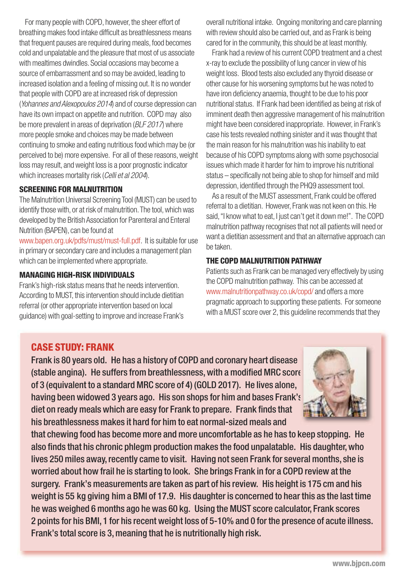For many people with COPD, however, the sheer effort of breathing makes food intake difficult as breathlessness means that frequent pauses are required during meals, food becomes cold and unpalatable and the pleasure that most of us associate with mealtimes dwindles. Social occasions may become a source of embarrassment and so may be avoided, leading to increased isolation and a feeling of missing out. It is no wonder that people with COPD are at increased risk of depression (*Yohannes and Alexopoulos 2014*) and of course depression can have its own impact on appetite and nutrition. COPD may also be more prevalent in areas of deprivation (*BLF 2017*) where more people smoke and choices may be made between continuing to smoke and eating nutritious food which may be (or perceived to be) more expensive. For all of these reasons, weight loss may result, and weight loss is a poor prognostic indicator which increases mortality risk (*Celli et al 2004*).

## **SCREENING FOR MALNUTRITION**

The Malnutrition Universal Screening Tool (MUST) can be used to identify those with, or at risk of malnutrition. The tool, which was developed by the British Association for Parenteral and Enteral Nutrition (BAPEN), can be found at

[www.bapen.org.uk/pdfs/must/must-full.pdf.](www.bapen.org.uk/pdfs/must/must-full.pdf) It is suitable for use in primary or secondary care and includes a management plan which can be implemented where appropriate.

### **MANAGING HIGH-RISK INDIVIDUALS**

Frank's high-risk status means that he needs intervention. According to MUST, this intervention should include dietitian referral (or other appropriate intervention based on local guidance) with goal-setting to improve and increase Frank's overall nutritional intake. Ongoing monitoring and care planning with review should also be carried out, and as Frank is being cared for in the community, this should be at least monthly.

Frank had a review of his current COPD treatment and a chest x-ray to exclude the possibility of lung cancer in view of his weight loss. Blood tests also excluded any thyroid disease or other cause for his worsening symptoms but he was noted to have iron deficiency anaemia, thought to be due to his poor nutritional status. If Frank had been identified as being at risk of imminent death then aggressive management of his malnutrition might have been considered inappropriate. However, in Frank's case his tests revealed nothing sinister and it was thought that the main reason for his malnutrition was his inability to eat because of his COPD symptoms along with some psychosocial issues which made it harder for him to improve his nutritional status – specifically not being able to shop for himself and mild depression, identified through the PHQ9 assessment tool.

As a result of the MUST assessment, Frank could be offered referral to a dietitian. However, Frank was not keen on this. He said, "I know what to eat, I just can't get it down me!". The COPD malnutrition pathway recognises that not all patients will need or want a dietitian assessment and that an alternative approach can be taken.

## **THE COPD MALNUTRITION PATHWAY**

Patients such as Frank can be managed very effectively by using the COPD malnutrition pathway. This can be accessed at <www.malnutritionpathway.co.uk/copd/> and offers a more pragmatic approach to supporting these patients. For someone with a MUST score over 2, this guideline recommends that they

## **CASE STUDY: FRANK**

Frank is 80 years old. He has a history of COPD and coronary heart disease (stable angina). He suffers from breathlessness, with a modified MRC score of 3 (equivalent to a standard MRC score of 4) (GOLD 2017). He lives alone, having been widowed 3 years ago. His son shops for him and bases Frank's diet on ready meals which are easy for Frank to prepare. Frank finds that his breathlessness makes it hard for him to eat normal-sized meals and



that chewing food has become more and more uncomfortable as he has to keep stopping. He also finds that his chronic phlegm production makes the food unpalatable. His daughter, who lives 250 miles away, recently came to visit. Having not seen Frank for several months, she is worried about how frail he is starting to look. She brings Frank in for a COPD review at the surgery. Frank's measurements are taken as part of his review. His height is 175 cm and his weight is 55 kg giving him a BMI of 17.9. His daughter is concerned to hear this as the last time he was weighed 6 months ago he was 60 kg. Using the MUST score calculator, Frank scores 2 points for his BMI, 1 for his recent weight loss of 5-10% and 0 for the presence of acute illness. Frank's total score is 3, meaning that he is nutritionally high risk.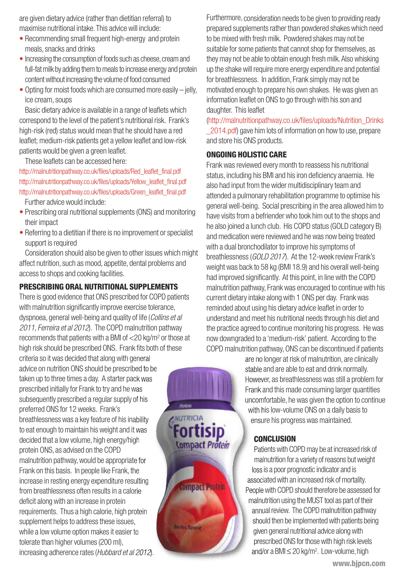are given dietary advice (rather than dietitian referral) to maximise nutritional intake.This advice will include:

- Recommending small frequent high-energy and protein meals, snacks and drinks
- Increasing the consumption of foods such as cheese, cream and full-fat milk by adding them to meals to increase energy and protein contentwithout increasing the volume of food consumed
- $\bullet$  Opting for moist foods which are consumed more easily  $-$  jelly, ice cream, soups

Basic dietary advice is available in a range of leaflets which correspond to the level of the patient's nutritional risk. Frank's high-risk (red) status would mean that he should have a red leaflet;medium-risk patients get a yellow leaflet and low-risk patients would be given a green leaflet.

These leaflets can be accessed here:

[http://malnutritionpathway.co.uk/files/uploads/Red\\_leaflet\\_final.pdf](http://malnutritionpathway.co.uk/files/uploads/Red_leaflet_final.pdf) [http://malnutritionpathway.co.uk/files/uploads/Yellow\\_leaflet\\_final.pdf](http://malnutritionpathway.co.uk/files/uploads/Yellow_leaflet_final.pdf) [http://malnutritionpathway.co.uk/files/uploads/Green\\_leaflet\\_final.pdf](http://malnutritionpathway.co.uk/files/uploads/Green_leaflet_final.pdf )

Further advice would include:

- Prescribing oral nutritional supplements (ONS) and monitoring their impact
- Referring to a dietitian if there is no improvement or specialist support is required

Consideration should also be given to other issues which might affect nutrition, such as mood, appetite, dental problems and accessto shops and cooking facilities.

## **PRESCRIBING ORAL NUTRITIONAL SUPPLEMENTS**

There is good evidence that ONS prescribed for COPD patients with malnutrition significantly improve exercise tolerance, dyspnoea, general well-being and quality of life (*Collins et al 2011, Ferreira et al 2012*). The COPDmalnutrition pathway recommends that patients with a BMI of  $<$  20 kg/m<sup>2</sup> or those at high risk should be prescribed ONS. Frank fits both of these

criteria so it was decided that along with general advice on nutrition ONS should be prescribed to be taken up to three times a day. A starter pack was prescribed initially for Frank to try and he was subsequently prescribed a regular supply of his preferred ONS for 12 weeks. Frank's breathlessness was a key feature of his inability to eat enough to maintain his weight and it was decided that a low volume, high energy/high protein ONS, as advised on the COPD malnutrition pathway,would be appropriate for Frank on this basis. In people like Frank, the increase in resting energy expenditure resulting from breathlessness often results in a calorie deficit along with an increase in protein requirements. Thus a high calorie, high protein supplement helps to address these issues, while a low volume option makes it easier to tolerate than higher volumes (200 ml), increasing adherence rates(*Hubbard et al 2012*).

Furthermore, consideration needs to be given to providing ready prepared supplements rather than powdered shakes which need to be mixed with fresh milk. Powdered shakes may not be suitable for some patients that cannot shop for themselves, as they may not be able to obtain enough fresh milk. Also whisking up the shake will require more energy expenditure and potential for breathlessness. In addition, Frank simplymay not be motivated enough to prepare his own shakes. He was given an information leaflet on ONS to go through with his son and daughter. This leaflet

[\(http://malnutritionpathway.co.uk/files/uploads/Nutrition\\_Drinks](http://malnutritionpathway.co.uk/files/uploads/Nutrition_Drinks_2014.pdf) 2014.pdf) gave him lots of information on how to use, prepare and store his ONS products.

## **ONGOING HOLISTIC CARE**

Frank was reviewed every month to reassess his nutritional status, including his BMI and his iron deficiency anaemia. He also had input from the wider multidisciplinary team and attended a pulmonary rehabilitation programme to optimise his general well-being. Social prescribing in the area allowed himto have visits from a befriender who took him out to the shops and he also joined a lunch club. His COPD status (GOLD category B) and medication were reviewed and he was now being treated with a dual bronchodilator to improve his symptoms of breathlessness(*GOLD 2017*). At the 12-week review Frank's weight was back to 58 kg (BMI 18.9) and his overall well-being had improved significantly. At this point, in line with the COPD malnutrition pathway, Frank was encouraged to continue with his current dietary intake along with 1 ONS per day. Frank was reminded about using his dietary advice leaflet in order to understand and meet his nutritional needs through his diet and the practice agreed to continue monitoring his progress. He was now downgraded to a 'medium-risk' patient. According to the COPD malnutrition pathway, ONS can be discontinued if patients

are no longer at risk of malnutrition, are clinically stable and are able to eat and drink normally. However, as breathlessness was still a problem for Frank and this made consuming larger quantities uncomfortable, he was given the option to continue with his low-volume ONS on a daily basis to ensure his progress was maintained.

## **CONCLUSION**

**NUTRICIA** 

**Att Visit Andrea** 

**ortisip** 

Compact Protein

compact Protein

Patients with COPD may be at increased risk of malnutrition for a variety of reasons but weight lossis a poor prognostic indicator and is associated with an increased risk of mortality. People with COPD should therefore be assessed for malnutrition using the MUST tool as part of their annual review. The COPD malnutrition pathway should then be implemented with patients being given general nutritional advice along with prescribed ONS for those with high risk levels and/or a BMI ≤ 20 kg/m<sup>2</sup>. Low-volume, high